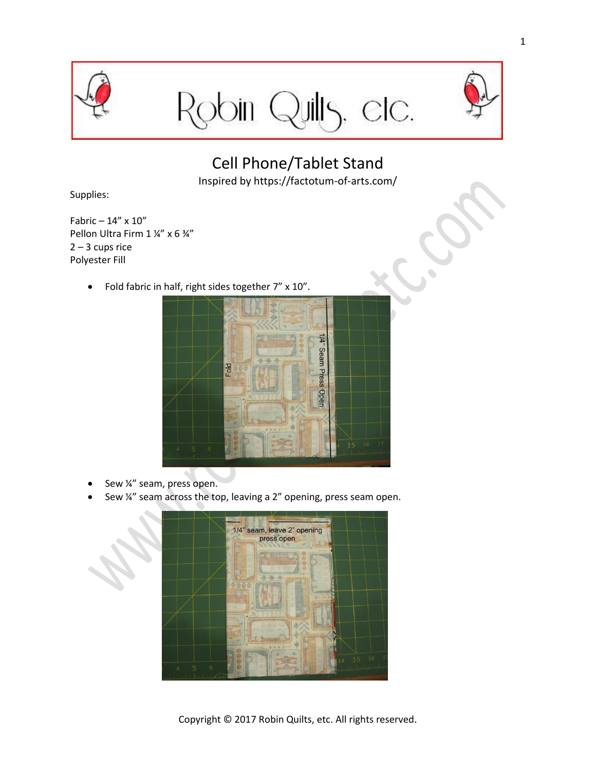

Robin Quilts, etc.



Cell Phone/Tablet Stand

Inspired by https://factotum-of-arts.com/

Supplies:

Fabric – 14" x 10" Pellon Ultra Firm 1 ¼" x 6 ¾"  $2 - 3$  cups rice Polyester Fill

• Fold fabric in half, right sides together 7" x 10".



- Sew ¼" seam, press open.
- Sew ¼" seam across the top, leaving a 2" opening, press seam open.



Copyright © 2017 Robin Quilts, etc. All rights reserved.